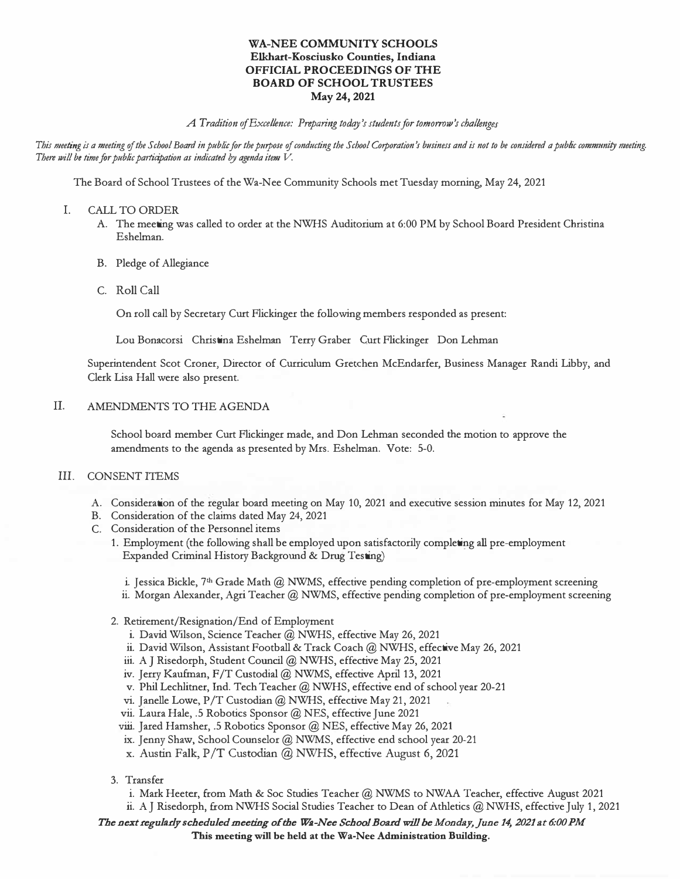## **WA-NEE COMMUNITY SCHOOLS Elkhart-Kosciusko Counties, Indiana OFFICIAL PROCEEDINGS OF THE BOARD OF SCHOOL TRUSTEES May 24, 2021**

### *A Tradition of Excellence: Preparing today's students for tomorrow's challenges*

This meeting is a meeting of the School Board in public for the purpose of conducting the School Corporation's business and is not to be considered a public community meeting. *There will be time for public participation as indicated by agenda item V.* 

The Board of School Trustees of the Wa-Nee Community Schools met Tuesday morning, May 24, 2021

- I. CALL TO ORDER
	- A. The meeting was called to order at the NWHS Auditorium at 6:00 PM by School Board President Christina Eshelman.
	- B. Pledge of Allegiance
	- C. Roll Call

On roll call by Secretary Curt Flickinger the following members responded as present:

Lou Bonacorsi Christina Eshelman Terry Graber Curt Flickinger Don Lehman

Superintendent Scot Croner, Director of Curriculum Gretchen McEndarfer, Business Manager Randi Libby, and Clerk Lisa Hall were also present.

#### IL AMENDMENTS TO THE AGENDA

School board member Curt Flickinger made, and Don Lehman seconded the motion to approve the amendments to the agenda as presented by Mrs. Eshelman. Vote: 5-0.

## **III.** CONSENT ITEMS

- A. Consideration of the regular board meeting on May 10, 2021 and executive session minutes for May 12, 2021
- B. Consideration of the claims dated May 24, 2021
- C. Consideration of the Personnel items
	- 1. Employment (the following shall be employed upon satisfactorily completing all pre-employment Expanded Criminal History Background & Drug Testing)

i. Jessica Bickle, 7 **th** Grade Math@ NWMS, effective pending completion of pre-employment screening ii. Morgan Alexander, Agri Teacher @ NWMS, effective pending completion of pre-employment screening

- 2. Retirement/Resignation/End of Employment
	- i. David Wilson, Science Teacher @ NWHS, effective May 26, 2021
	- ii. David Wilson, Assistant Football & Track Coach @ NWHS, effective May 26, 2021
	- iii. A J Risedorph, Student Council @ NWHS, effective May 25, 2021
	- iv. Jerry Kaufman, F/T Custodial@ NWMS, effective April 13, 2021
	- v. Phil Lechlitner, Ind. Tech Teacher @ NWHS, effective end of school year 20-21
	- vi. Janelle Lowe, P /T Custodian @ NWHS, effective May 21, 2021
	- vii. Laura Hale, .5 Robotics Sponsor @ NES, effective June 2021
	- viii. Jared Hamsher, .5 Robotics Sponsor @ NES, effective May 26, 2021
	- ix. Jenny Shaw, School Counselor @ NWMS, effective end school year 20-21
	- x. Austin Falk, P/T Custodian @ NWHS, effective August 6, 2021
- 3. Transfer
	- i. Mark Heeter, from Math & Soc Studies Teacher @ NWMS to NWAA Teacher, effective August 2021 ii. A J Risedorph, from NWHS Social Studies Teacher to Dean of Athletics @ NWHS, effective July 1, 2021

*The next regularly scheduled meeting of the Wa-Nee School Board will be Monday,June 14, 2021 at 6:00 PM*  **This meeting will be held at the Wa-Nee Administration Building.**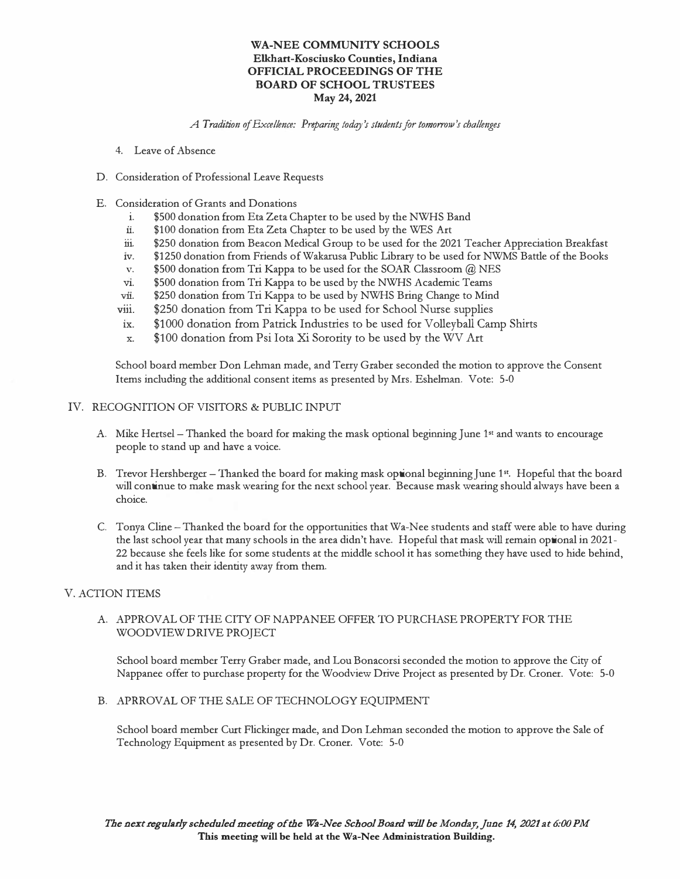## **WA-NEE COMMUNITY SCHOOLS Elkhart-Kosciusko Counties, Indiana OFFICIAL PROCEEDINGS OF THE BOARD OF SCHOOL TRUSTEES May 24, 2021**

*A Tradition of Excellence: Preparing todqy 's students for tomorrow's challenges* 

- 4. Leave of Absence
- D. Consideration of Professional Leave Requests
- E. Consideration of Grants and Donations
	- i. \$500 donation from Eta Zeta Chapter to be used by the NWHS Band
	- ii. \$100 donation from Eta Zeta Chapter to be used by the WES Art
	- iii. \$250 donation from Beacon Medical Group to be used for the 2021 Teacher Appreciation Breakfast
	- 1v. \$1250 donation from Friends of Wakarusa Public Library to be used for NWMS Battle of the Books
	- v. \$500 donation from Tri Kappa to be used for the SOAR Classroom @ NES
	- vi. \$500 donation from Tri Kappa to be used by the NWHS Academic Teams
	- vii. \$250 donation from Tri Kappa to be used by NWHS Bring Change to Mind
	- viii. \$250 donation from Tri Kappa to be used for School Nurse supplies
	- ix. \$1000 donation from Patrick Industries to be used for Volleyball Camp Shirts
	- x. \$100 donation from Psi Iota Xi Sorority to be used by the WV Art

School board member Don Lehman made, and Terry Graber seconded the motion to approve the Consent Items including the additional consent items as presented by Mrs. Eshelman. Vote: 5-0

#### IV. RECOGNITION OF VISITORS **&** PUBLIC INPUT

- A. Mike Hertsel Thanked the board for making the mask optional beginning June 1st and wants to encourage people to stand up and have a voice.
- B. Trevor Hershberger Thanked the board for making mask optional beginning June 1st. Hopeful that the board will continue to make mask wearing for the next school year. Because mask wearing should always have been a choice.
- C. Tonya Cline Thanked the board for the opportunities that Wa-Nee students and staff were able to have during the last school year that many schools in the area didn't have. Hopeful that mask will remain optional in 2021- 22 because she feels like for some students at the middle school it has something they have used to hide behind, and it has taken their identity away from them.

# V. ACTION ITEMS

## A. APPROVAL OF THE CITY OF NAPPANEE OFFER TO PURCHASE PROPERTY FOR THE WOOD VIEW DRIVE PROJECT

School board member Terry Graber made, and Lou Bonacorsi seconded the motion to approve the City of Nappanee offer to purchase property for the Woodview Drive Project as presented by Dr. Croner. Vote: 5-0

B. APRROVAL OF THE SALE OF TECHNOLOGY EQUIPMENT

School board member Curt Flickinger made, and Don Lehman seconded the motion to approve the Sale of Technology Equipment as presented by Dr. Croner. Vote: 5-0